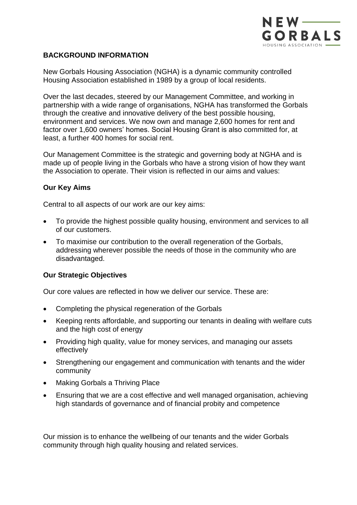

## **BACKGROUND INFORMATION**

New Gorbals Housing Association (NGHA) is a dynamic community controlled Housing Association established in 1989 by a group of local residents.

Over the last decades, steered by our Management Committee, and working in partnership with a wide range of organisations, NGHA has transformed the Gorbals through the creative and innovative delivery of the best possible housing, environment and services. We now own and manage 2,600 homes for rent and factor over 1,600 owners' homes. Social Housing Grant is also committed for, at least, a further 400 homes for social rent.

Our Management Committee is the strategic and governing body at NGHA and is made up of people living in the Gorbals who have a strong vision of how they want the Association to operate. Their vision is reflected in our aims and values:

## **Our Key Aims**

Central to all aspects of our work are our key aims:

- To provide the highest possible quality housing, environment and services to all of our customers.
- To maximise our contribution to the overall regeneration of the Gorbals, addressing wherever possible the needs of those in the community who are disadvantaged.

## **Our Strategic Objectives**

Our core values are reflected in how we deliver our service. These are:

- Completing the physical regeneration of the Gorbals
- Keeping rents affordable, and supporting our tenants in dealing with welfare cuts and the high cost of energy
- Providing high quality, value for money services, and managing our assets effectively
- Strengthening our engagement and communication with tenants and the wider community
- Making Gorbals a Thriving Place
- Ensuring that we are a cost effective and well managed organisation, achieving high standards of governance and of financial probity and competence

Our mission is to enhance the wellbeing of our tenants and the wider Gorbals community through high quality housing and related services.